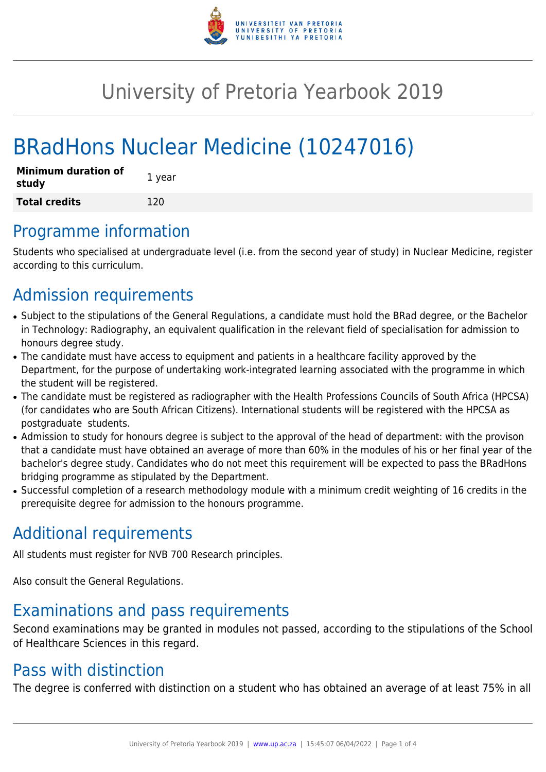

# University of Pretoria Yearbook 2019

# BRadHons Nuclear Medicine (10247016)

| <b>Minimum duration of</b><br>study | 1 year |
|-------------------------------------|--------|
| <b>Total credits</b>                | 120    |

### Programme information

Students who specialised at undergraduate level (i.e. from the second year of study) in Nuclear Medicine, register according to this curriculum.

## Admission requirements

- Subject to the stipulations of the General Regulations, a candidate must hold the BRad degree, or the Bachelor in Technology: Radiography, an equivalent qualification in the relevant field of specialisation for admission to honours degree study.
- The candidate must have access to equipment and patients in a healthcare facility approved by the Department, for the purpose of undertaking work-integrated learning associated with the programme in which the student will be registered.
- The candidate must be registered as radiographer with the Health Professions Councils of South Africa (HPCSA) (for candidates who are South African Citizens). International students will be registered with the HPCSA as postgraduate students.
- Admission to study for honours degree is subject to the approval of the head of department: with the provison that a candidate must have obtained an average of more than 60% in the modules of his or her final year of the bachelor's degree study. Candidates who do not meet this requirement will be expected to pass the BRadHons bridging programme as stipulated by the Department.
- Successful completion of a research methodology module with a minimum credit weighting of 16 credits in the prerequisite degree for admission to the honours programme.

## Additional requirements

All students must register for NVB 700 Research principles.

Also consult the General Regulations.

# Examinations and pass requirements

Second examinations may be granted in modules not passed, according to the stipulations of the School of Healthcare Sciences in this regard.

### Pass with distinction

The degree is conferred with distinction on a student who has obtained an average of at least 75% in all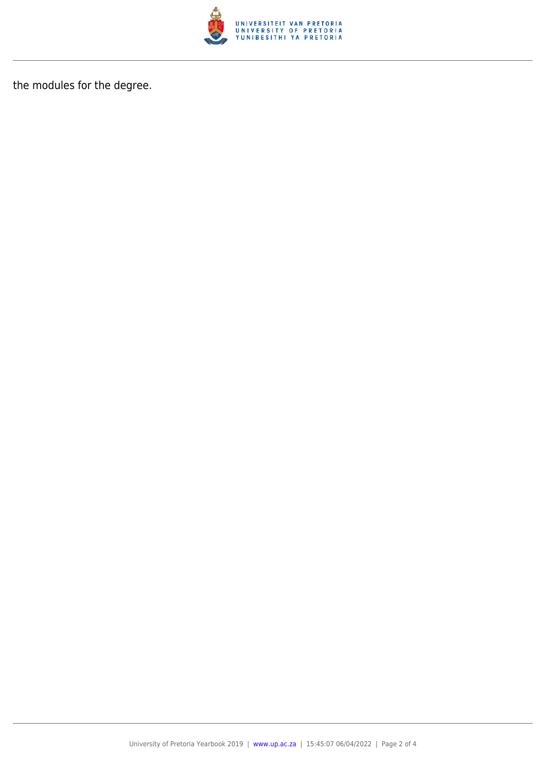

the modules for the degree.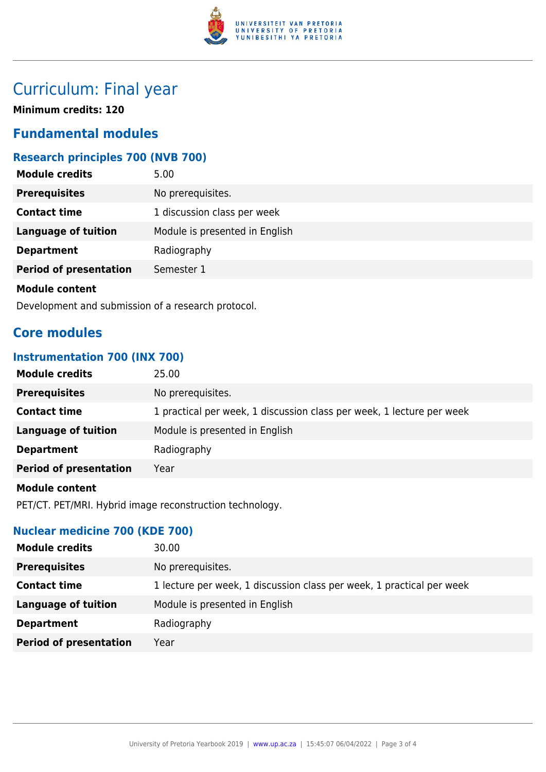

# Curriculum: Final year

**Minimum credits: 120**

### **Fundamental modules**

### **Research principles 700 (NVB 700)**

| <b>Module credits</b>         | 5.00                           |
|-------------------------------|--------------------------------|
| <b>Prerequisites</b>          | No prerequisites.              |
| <b>Contact time</b>           | 1 discussion class per week    |
| <b>Language of tuition</b>    | Module is presented in English |
| <b>Department</b>             | Radiography                    |
| <b>Period of presentation</b> | Semester 1                     |
| <b>Module content</b>         |                                |

Development and submission of a research protocol.

### **Core modules**

#### **Instrumentation 700 (INX 700)**

| <b>Module credits</b>         | 25.00                                                                 |
|-------------------------------|-----------------------------------------------------------------------|
| <b>Prerequisites</b>          | No prerequisites.                                                     |
| <b>Contact time</b>           | 1 practical per week, 1 discussion class per week, 1 lecture per week |
| <b>Language of tuition</b>    | Module is presented in English                                        |
| <b>Department</b>             | Radiography                                                           |
| <b>Period of presentation</b> | Year                                                                  |
|                               |                                                                       |

#### **Module content**

PET/CT. PET/MRI. Hybrid image reconstruction technology.

#### **Nuclear medicine 700 (KDE 700)**

| <b>Module credits</b><br>30.00                               |                                                                       |
|--------------------------------------------------------------|-----------------------------------------------------------------------|
| <b>Prerequisites</b><br>No prerequisites.                    |                                                                       |
| <b>Contact time</b>                                          | 1 lecture per week, 1 discussion class per week, 1 practical per week |
| <b>Language of tuition</b><br>Module is presented in English |                                                                       |
| <b>Department</b><br>Radiography                             |                                                                       |
| <b>Period of presentation</b><br>Year                        |                                                                       |